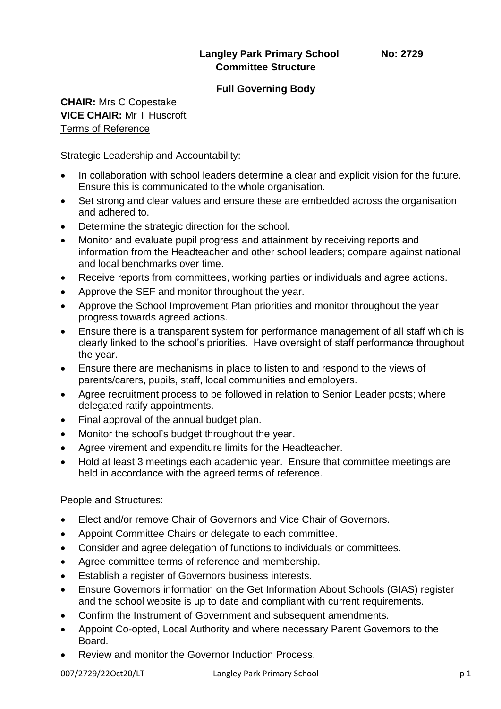# **Langley Park Primary School No: 2729 Committee Structure**

#### **Full Governing Body**

# **CHAIR:** Mrs C Copestake **VICE CHAIR:** Mr T Huscroft Terms of Reference

Strategic Leadership and Accountability:

- In collaboration with school leaders determine a clear and explicit vision for the future. Ensure this is communicated to the whole organisation.
- Set strong and clear values and ensure these are embedded across the organisation and adhered to.
- Determine the strategic direction for the school.
- Monitor and evaluate pupil progress and attainment by receiving reports and information from the Headteacher and other school leaders; compare against national and local benchmarks over time.
- Receive reports from committees, working parties or individuals and agree actions.
- Approve the SEF and monitor throughout the year.
- Approve the School Improvement Plan priorities and monitor throughout the year progress towards agreed actions.
- Ensure there is a transparent system for performance management of all staff which is clearly linked to the school's priorities. Have oversight of staff performance throughout the year.
- Ensure there are mechanisms in place to listen to and respond to the views of parents/carers, pupils, staff, local communities and employers.
- Agree recruitment process to be followed in relation to Senior Leader posts; where delegated ratify appointments.
- Final approval of the annual budget plan.
- Monitor the school's budget throughout the year.
- Agree virement and expenditure limits for the Headteacher.
- Hold at least 3 meetings each academic year. Ensure that committee meetings are held in accordance with the agreed terms of reference.

People and Structures:

- Elect and/or remove Chair of Governors and Vice Chair of Governors.
- Appoint Committee Chairs or delegate to each committee.
- Consider and agree delegation of functions to individuals or committees.
- Agree committee terms of reference and membership.
- Establish a register of Governors business interests.
- Ensure Governors information on the Get Information About Schools (GIAS) register and the school website is up to date and compliant with current requirements.
- Confirm the Instrument of Government and subsequent amendments.
- Appoint Co-opted, Local Authority and where necessary Parent Governors to the Board.
- Review and monitor the Governor Induction Process.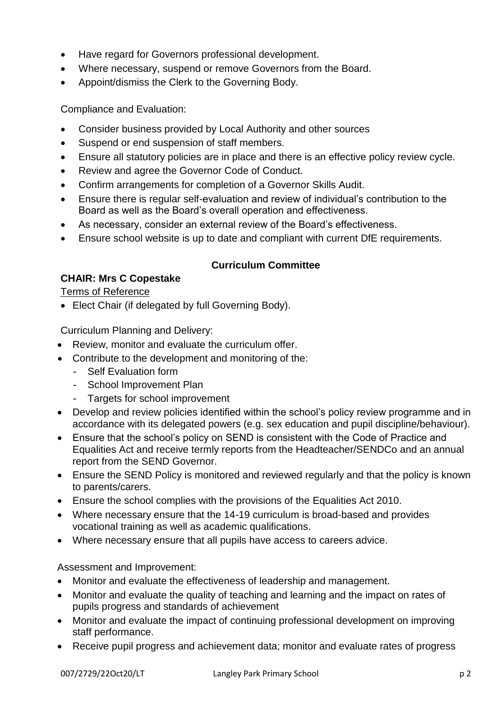- Have regard for Governors professional development.
- Where necessary, suspend or remove Governors from the Board.
- Appoint/dismiss the Clerk to the Governing Body.

Compliance and Evaluation:

- Consider business provided by Local Authority and other sources
- Suspend or end suspension of staff members.
- Ensure all statutory policies are in place and there is an effective policy review cycle.
- Review and agree the Governor Code of Conduct.
- Confirm arrangements for completion of a Governor Skills Audit.
- Ensure there is regular self-evaluation and review of individual's contribution to the Board as well as the Board's overall operation and effectiveness.
- As necessary, consider an external review of the Board's effectiveness.
- Ensure school website is up to date and compliant with current DfE requirements.

# **Curriculum Committee**

# **CHAIR: Mrs C Copestake**

Terms of Reference

• Elect Chair (if delegated by full Governing Body).

Curriculum Planning and Delivery:

- Review, monitor and evaluate the curriculum offer.
- Contribute to the development and monitoring of the:
	- Self Evaluation form
	- School Improvement Plan
	- Targets for school improvement
- Develop and review policies identified within the school's policy review programme and in accordance with its delegated powers (e.g. sex education and pupil discipline/behaviour).
- Ensure that the school's policy on SEND is consistent with the Code of Practice and Equalities Act and receive termly reports from the Headteacher/SENDCo and an annual report from the SEND Governor.
- Ensure the SEND Policy is monitored and reviewed regularly and that the policy is known to parents/carers.
- Ensure the school complies with the provisions of the Equalities Act 2010.
- Where necessary ensure that the 14-19 curriculum is broad-based and provides vocational training as well as academic qualifications.
- Where necessary ensure that all pupils have access to careers advice.

Assessment and Improvement:

- Monitor and evaluate the effectiveness of leadership and management.
- Monitor and evaluate the quality of teaching and learning and the impact on rates of pupils progress and standards of achievement
- Monitor and evaluate the impact of continuing professional development on improving staff performance.
- Receive pupil progress and achievement data; monitor and evaluate rates of progress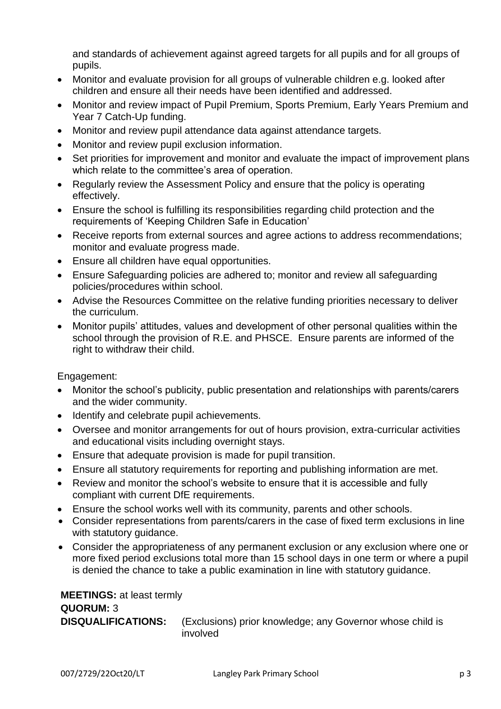and standards of achievement against agreed targets for all pupils and for all groups of pupils.

- Monitor and evaluate provision for all groups of vulnerable children e.g. looked after children and ensure all their needs have been identified and addressed.
- Monitor and review impact of Pupil Premium, Sports Premium, Early Years Premium and Year 7 Catch-Up funding.
- Monitor and review pupil attendance data against attendance targets.
- Monitor and review pupil exclusion information.
- Set priorities for improvement and monitor and evaluate the impact of improvement plans which relate to the committee's area of operation.
- Regularly review the Assessment Policy and ensure that the policy is operating effectively.
- Ensure the school is fulfilling its responsibilities regarding child protection and the requirements of 'Keeping Children Safe in Education'
- Receive reports from external sources and agree actions to address recommendations; monitor and evaluate progress made.
- Ensure all children have equal opportunities.
- Ensure Safeguarding policies are adhered to; monitor and review all safeguarding policies/procedures within school.
- Advise the Resources Committee on the relative funding priorities necessary to deliver the curriculum.
- Monitor pupils' attitudes, values and development of other personal qualities within the school through the provision of R.E. and PHSCE. Ensure parents are informed of the right to withdraw their child.

# Engagement:

- Monitor the school's publicity, public presentation and relationships with parents/carers and the wider community.
- Identify and celebrate pupil achievements.
- Oversee and monitor arrangements for out of hours provision, extra-curricular activities and educational visits including overnight stays.
- Ensure that adequate provision is made for pupil transition.
- Ensure all statutory requirements for reporting and publishing information are met.
- Review and monitor the school's website to ensure that it is accessible and fully compliant with current DfE requirements.
- Ensure the school works well with its community, parents and other schools.
- Consider representations from parents/carers in the case of fixed term exclusions in line with statutory quidance.
- Consider the appropriateness of any permanent exclusion or any exclusion where one or more fixed period exclusions total more than 15 school days in one term or where a pupil is denied the chance to take a public examination in line with statutory guidance.

| <b>MEETINGS: at least termly</b> |                                                                       |
|----------------------------------|-----------------------------------------------------------------------|
| <b>QUORUM: 3</b>                 |                                                                       |
| <b>DISQUALIFICATIONS:</b>        | (Exclusions) prior knowledge; any Governor whose child is<br>involved |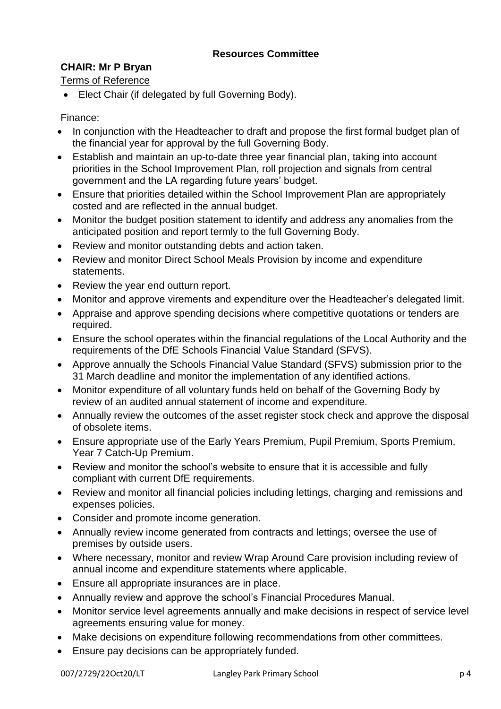# **CHAIR: Mr P Bryan**

Terms of Reference

• Elect Chair (if delegated by full Governing Body).

Finance:

- In conjunction with the Headteacher to draft and propose the first formal budget plan of the financial year for approval by the full Governing Body.
- Establish and maintain an up-to-date three year financial plan, taking into account priorities in the School Improvement Plan, roll projection and signals from central government and the LA regarding future years' budget.
- Ensure that priorities detailed within the School Improvement Plan are appropriately costed and are reflected in the annual budget.
- Monitor the budget position statement to identify and address any anomalies from the anticipated position and report termly to the full Governing Body.
- Review and monitor outstanding debts and action taken.
- Review and monitor Direct School Meals Provision by income and expenditure statements.
- Review the year end outturn report.
- Monitor and approve virements and expenditure over the Headteacher's delegated limit.
- Appraise and approve spending decisions where competitive quotations or tenders are required.
- Ensure the school operates within the financial regulations of the Local Authority and the requirements of the DfE Schools Financial Value Standard (SFVS).
- Approve annually the Schools Financial Value Standard (SFVS) submission prior to the 31 March deadline and monitor the implementation of any identified actions.
- Monitor expenditure of all voluntary funds held on behalf of the Governing Body by review of an audited annual statement of income and expenditure.
- Annually review the outcomes of the asset register stock check and approve the disposal of obsolete items.
- Ensure appropriate use of the Early Years Premium, Pupil Premium, Sports Premium, Year 7 Catch-Up Premium.
- Review and monitor the school's website to ensure that it is accessible and fully compliant with current DfE requirements.
- Review and monitor all financial policies including lettings, charging and remissions and expenses policies.
- Consider and promote income generation.
- Annually review income generated from contracts and lettings; oversee the use of premises by outside users.
- Where necessary, monitor and review Wrap Around Care provision including review of annual income and expenditure statements where applicable.
- Ensure all appropriate insurances are in place.
- Annually review and approve the school's Financial Procedures Manual.
- Monitor service level agreements annually and make decisions in respect of service level agreements ensuring value for money.
- Make decisions on expenditure following recommendations from other committees.
- Ensure pay decisions can be appropriately funded.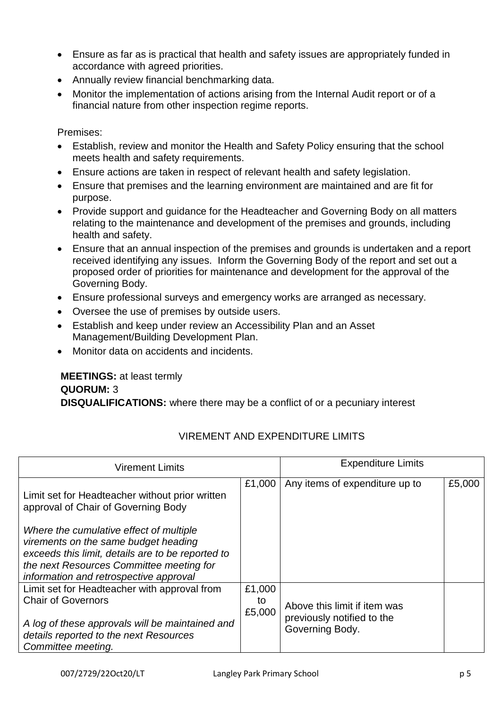- Ensure as far as is practical that health and safety issues are appropriately funded in accordance with agreed priorities.
- Annually review financial benchmarking data.
- Monitor the implementation of actions arising from the Internal Audit report or of a financial nature from other inspection regime reports.

Premises:

- Establish, review and monitor the Health and Safety Policy ensuring that the school meets health and safety requirements.
- Ensure actions are taken in respect of relevant health and safety legislation.
- Ensure that premises and the learning environment are maintained and are fit for purpose.
- Provide support and guidance for the Headteacher and Governing Body on all matters relating to the maintenance and development of the premises and grounds, including health and safety.
- Ensure that an annual inspection of the premises and grounds is undertaken and a report received identifying any issues. Inform the Governing Body of the report and set out a proposed order of priorities for maintenance and development for the approval of the Governing Body.
- Ensure professional surveys and emergency works are arranged as necessary.
- Oversee the use of premises by outside users.
- Establish and keep under review an Accessibility Plan and an Asset Management/Building Development Plan.
- Monitor data on accidents and incidents.

## **MEETINGS:** at least termly **QUORUM:** 3 **DISQUALIFICATIONS:** where there may be a conflict of or a pecuniary interest

| <b>Virement Limits</b>                                                                                                                                                                                                     |                        | <b>Expenditure Limits</b>                                                     |        |
|----------------------------------------------------------------------------------------------------------------------------------------------------------------------------------------------------------------------------|------------------------|-------------------------------------------------------------------------------|--------|
| Limit set for Headteacher without prior written<br>approval of Chair of Governing Body                                                                                                                                     | £1,000                 | Any items of expenditure up to                                                | £5,000 |
| Where the cumulative effect of multiple<br>virements on the same budget heading<br>exceeds this limit, details are to be reported to<br>the next Resources Committee meeting for<br>information and retrospective approval |                        |                                                                               |        |
| Limit set for Headteacher with approval from<br><b>Chair of Governors</b><br>A log of these approvals will be maintained and<br>details reported to the next Resources<br>Committee meeting.                               | £1,000<br>to<br>£5,000 | Above this limit if item was<br>previously notified to the<br>Governing Body. |        |

# VIREMENT AND EXPENDITURE LIMITS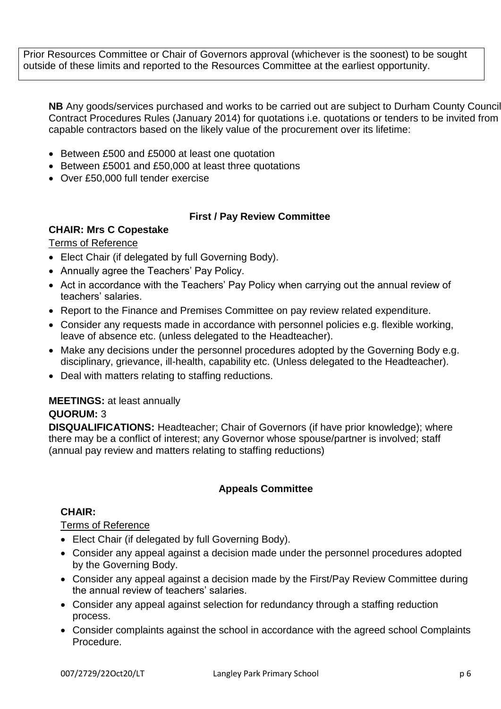Prior Resources Committee or Chair of Governors approval (whichever is the soonest) to be sought outside of these limits and reported to the Resources Committee at the earliest opportunity.

**NB** Any goods/services purchased and works to be carried out are subject to Durham County Council Contract Procedures Rules (January 2014) for quotations i.e. quotations or tenders to be invited from capable contractors based on the likely value of the procurement over its lifetime:

- Between £500 and £5000 at least one quotation
- Between £5001 and £50,000 at least three quotations
- Over £50,000 full tender exercise

# **First / Pay Review Committee**

## **CHAIR: Mrs C Copestake**

## Terms of Reference

- Elect Chair (if delegated by full Governing Body).
- Annually agree the Teachers' Pay Policy.
- Act in accordance with the Teachers' Pay Policy when carrying out the annual review of teachers' salaries.
- Report to the Finance and Premises Committee on pay review related expenditure.
- Consider any requests made in accordance with personnel policies e.g. flexible working, leave of absence etc. (unless delegated to the Headteacher).
- Make any decisions under the personnel procedures adopted by the Governing Body e.g. disciplinary, grievance, ill-health, capability etc. (Unless delegated to the Headteacher).
- Deal with matters relating to staffing reductions.

#### **MEETINGS:** at least annually

#### **QUORUM:** 3

**DISQUALIFICATIONS:** Headteacher; Chair of Governors (if have prior knowledge); where there may be a conflict of interest; any Governor whose spouse/partner is involved; staff (annual pay review and matters relating to staffing reductions)

# **Appeals Committee**

#### **CHAIR:**

#### Terms of Reference

- Elect Chair (if delegated by full Governing Body).
- Consider any appeal against a decision made under the personnel procedures adopted by the Governing Body.
- Consider any appeal against a decision made by the First/Pay Review Committee during the annual review of teachers' salaries.
- Consider any appeal against selection for redundancy through a staffing reduction process.
- Consider complaints against the school in accordance with the agreed school Complaints Procedure.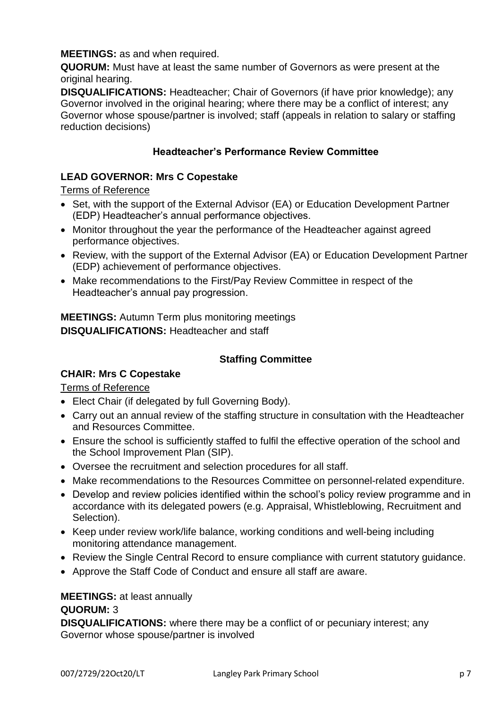## **MEETINGS:** as and when required.

**QUORUM:** Must have at least the same number of Governors as were present at the original hearing.

**DISQUALIFICATIONS:** Headteacher; Chair of Governors (if have prior knowledge); any Governor involved in the original hearing; where there may be a conflict of interest; any Governor whose spouse/partner is involved; staff (appeals in relation to salary or staffing reduction decisions)

#### **Headteacher's Performance Review Committee**

## **LEAD GOVERNOR: Mrs C Copestake**

## Terms of Reference

- Set, with the support of the External Advisor (EA) or Education Development Partner (EDP) Headteacher's annual performance objectives.
- Monitor throughout the year the performance of the Headteacher against agreed performance objectives.
- Review, with the support of the External Advisor (EA) or Education Development Partner (EDP) achievement of performance objectives.
- Make recommendations to the First/Pay Review Committee in respect of the Headteacher's annual pay progression.

**MEETINGS:** Autumn Term plus monitoring meetings **DISQUALIFICATIONS:** Headteacher and staff

## **Staffing Committee**

# **CHAIR: Mrs C Copestake**

Terms of Reference

- Elect Chair (if delegated by full Governing Body).
- Carry out an annual review of the staffing structure in consultation with the Headteacher and Resources Committee.
- Ensure the school is sufficiently staffed to fulfil the effective operation of the school and the School Improvement Plan (SIP).
- Oversee the recruitment and selection procedures for all staff.
- Make recommendations to the Resources Committee on personnel-related expenditure.
- Develop and review policies identified within the school's policy review programme and in accordance with its delegated powers (e.g. Appraisal, Whistleblowing, Recruitment and Selection).
- Keep under review work/life balance, working conditions and well-being including monitoring attendance management.
- Review the Single Central Record to ensure compliance with current statutory quidance.
- Approve the Staff Code of Conduct and ensure all staff are aware.

# **MEETINGS:** at least annually

# **QUORUM:** 3

**DISQUALIFICATIONS:** where there may be a conflict of or pecuniary interest; any Governor whose spouse/partner is involved